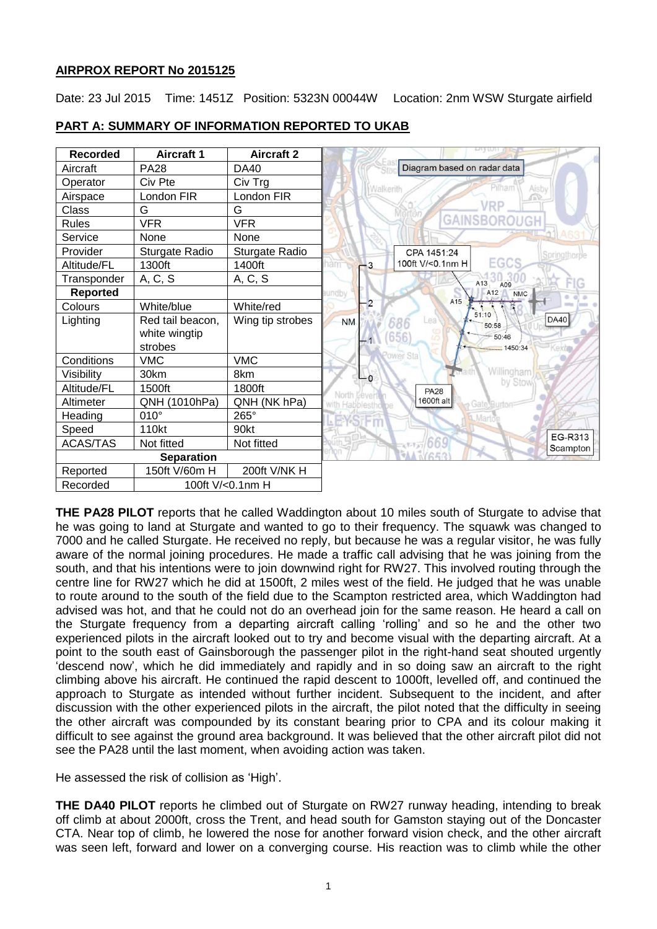# **AIRPROX REPORT No 2015125**

Date: 23 Jul 2015 Time: 1451Z Position: 5323N 00044W Location: 2nm WSW Sturgate airfield



# **PART A: SUMMARY OF INFORMATION REPORTED TO UKAB**

**THE PA28 PILOT** reports that he called Waddington about 10 miles south of Sturgate to advise that he was going to land at Sturgate and wanted to go to their frequency. The squawk was changed to 7000 and he called Sturgate. He received no reply, but because he was a regular visitor, he was fully aware of the normal joining procedures. He made a traffic call advising that he was joining from the south, and that his intentions were to join downwind right for RW27. This involved routing through the centre line for RW27 which he did at 1500ft, 2 miles west of the field. He judged that he was unable to route around to the south of the field due to the Scampton restricted area, which Waddington had advised was hot, and that he could not do an overhead join for the same reason. He heard a call on the Sturgate frequency from a departing aircraft calling 'rolling' and so he and the other two experienced pilots in the aircraft looked out to try and become visual with the departing aircraft. At a point to the south east of Gainsborough the passenger pilot in the right-hand seat shouted urgently 'descend now', which he did immediately and rapidly and in so doing saw an aircraft to the right climbing above his aircraft. He continued the rapid descent to 1000ft, levelled off, and continued the approach to Sturgate as intended without further incident. Subsequent to the incident, and after discussion with the other experienced pilots in the aircraft, the pilot noted that the difficulty in seeing the other aircraft was compounded by its constant bearing prior to CPA and its colour making it difficult to see against the ground area background. It was believed that the other aircraft pilot did not see the PA28 until the last moment, when avoiding action was taken.

He assessed the risk of collision as 'High'.

**THE DA40 PILOT** reports he climbed out of Sturgate on RW27 runway heading, intending to break off climb at about 2000ft, cross the Trent, and head south for Gamston staying out of the Doncaster CTA. Near top of climb, he lowered the nose for another forward vision check, and the other aircraft was seen left, forward and lower on a converging course. His reaction was to climb while the other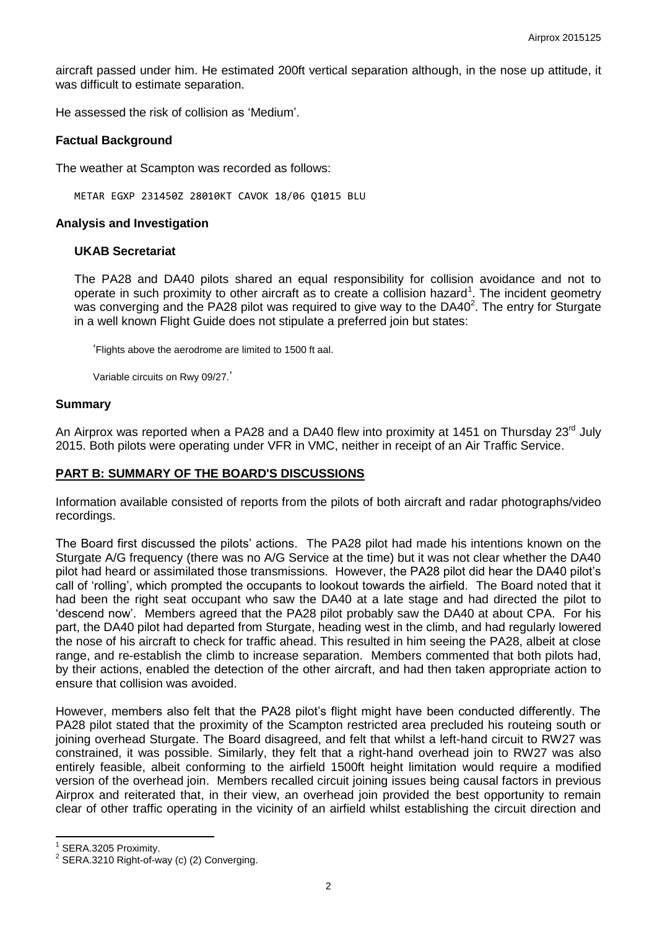aircraft passed under him. He estimated 200ft vertical separation although, in the nose up attitude, it was difficult to estimate separation.

He assessed the risk of collision as 'Medium'.

#### **Factual Background**

The weather at Scampton was recorded as follows:

METAR EGXP 231450Z 28010KT CAVOK 18/06 Q1015 BLU

#### **Analysis and Investigation**

#### **UKAB Secretariat**

The PA28 and DA40 pilots shared an equal responsibility for collision avoidance and not to operate in such proximity to other aircraft as to create a collision hazard<sup>1</sup>. The incident geometry was converging and the PA28 pilot was required to give way to the DA40 $^2$ . The entry for Sturgate in a well known Flight Guide does not stipulate a preferred join but states:

'Flights above the aerodrome are limited to 1500 ft aal.

Variable circuits on Rwy 09/27.'

#### **Summary**

An Airprox was reported when a PA28 and a DA40 flew into proximity at 1451 on Thursday 23<sup>rd</sup> July 2015. Both pilots were operating under VFR in VMC, neither in receipt of an Air Traffic Service.

### **PART B: SUMMARY OF THE BOARD'S DISCUSSIONS**

Information available consisted of reports from the pilots of both aircraft and radar photographs/video recordings.

The Board first discussed the pilots' actions. The PA28 pilot had made his intentions known on the Sturgate A/G frequency (there was no A/G Service at the time) but it was not clear whether the DA40 pilot had heard or assimilated those transmissions. However, the PA28 pilot did hear the DA40 pilot's call of 'rolling', which prompted the occupants to lookout towards the airfield. The Board noted that it had been the right seat occupant who saw the DA40 at a late stage and had directed the pilot to 'descend now'. Members agreed that the PA28 pilot probably saw the DA40 at about CPA. For his part, the DA40 pilot had departed from Sturgate, heading west in the climb, and had regularly lowered the nose of his aircraft to check for traffic ahead. This resulted in him seeing the PA28, albeit at close range, and re-establish the climb to increase separation. Members commented that both pilots had, by their actions, enabled the detection of the other aircraft, and had then taken appropriate action to ensure that collision was avoided.

However, members also felt that the PA28 pilot's flight might have been conducted differently. The PA28 pilot stated that the proximity of the Scampton restricted area precluded his routeing south or joining overhead Sturgate. The Board disagreed, and felt that whilst a left-hand circuit to RW27 was constrained, it was possible. Similarly, they felt that a right-hand overhead join to RW27 was also entirely feasible, albeit conforming to the airfield 1500ft height limitation would require a modified version of the overhead join. Members recalled circuit joining issues being causal factors in previous Airprox and reiterated that, in their view, an overhead join provided the best opportunity to remain clear of other traffic operating in the vicinity of an airfield whilst establishing the circuit direction and

 $\overline{\phantom{a}}$ 

<sup>1</sup> SERA.3205 Proximity.

 $2$  SERA.3210 Right-of-way (c) (2) Converging.